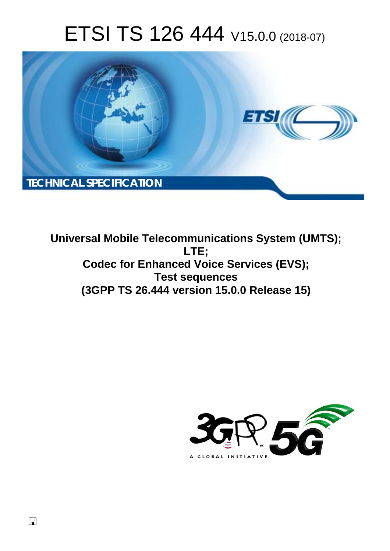# ETSI TS 126 444 V15.0.0 (2018-07)



**Universal Mobile Telecommunications System (UMTS); LTE; Codec for Enhanced Voice Services (EVS); Test sequences (3GPP TS 26.444 version 15.0.0 Release 15)** 

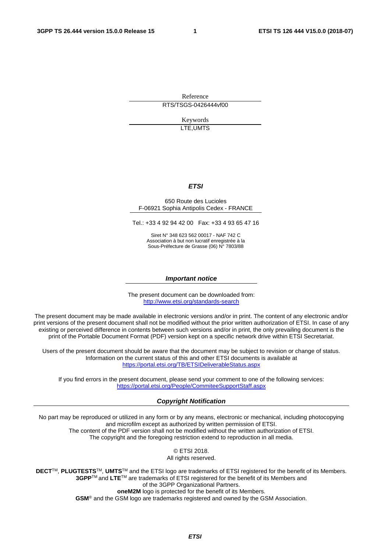Reference RTS/TSGS-0426444vf00

> Keywords LTE,UMTS

#### *ETSI*

#### 650 Route des Lucioles F-06921 Sophia Antipolis Cedex - FRANCE

Tel.: +33 4 92 94 42 00 Fax: +33 4 93 65 47 16

Siret N° 348 623 562 00017 - NAF 742 C Association à but non lucratif enregistrée à la Sous-Préfecture de Grasse (06) N° 7803/88

#### *Important notice*

The present document can be downloaded from: <http://www.etsi.org/standards-search>

The present document may be made available in electronic versions and/or in print. The content of any electronic and/or print versions of the present document shall not be modified without the prior written authorization of ETSI. In case of any existing or perceived difference in contents between such versions and/or in print, the only prevailing document is the print of the Portable Document Format (PDF) version kept on a specific network drive within ETSI Secretariat.

Users of the present document should be aware that the document may be subject to revision or change of status. Information on the current status of this and other ETSI documents is available at <https://portal.etsi.org/TB/ETSIDeliverableStatus.aspx>

If you find errors in the present document, please send your comment to one of the following services: <https://portal.etsi.org/People/CommiteeSupportStaff.aspx>

#### *Copyright Notification*

No part may be reproduced or utilized in any form or by any means, electronic or mechanical, including photocopying and microfilm except as authorized by written permission of ETSI. The content of the PDF version shall not be modified without the written authorization of ETSI. The copyright and the foregoing restriction extend to reproduction in all media.

> © ETSI 2018. All rights reserved.

**DECT**TM, **PLUGTESTS**TM, **UMTS**TM and the ETSI logo are trademarks of ETSI registered for the benefit of its Members. **3GPP**TM and **LTE**TM are trademarks of ETSI registered for the benefit of its Members and of the 3GPP Organizational Partners. **oneM2M** logo is protected for the benefit of its Members.

**GSM**® and the GSM logo are trademarks registered and owned by the GSM Association.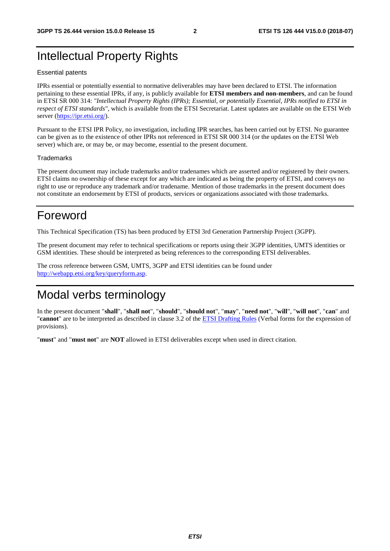### Intellectual Property Rights

#### Essential patents

IPRs essential or potentially essential to normative deliverables may have been declared to ETSI. The information pertaining to these essential IPRs, if any, is publicly available for **ETSI members and non-members**, and can be found in ETSI SR 000 314: *"Intellectual Property Rights (IPRs); Essential, or potentially Essential, IPRs notified to ETSI in respect of ETSI standards"*, which is available from the ETSI Secretariat. Latest updates are available on the ETSI Web server ([https://ipr.etsi.org/\)](https://ipr.etsi.org/).

Pursuant to the ETSI IPR Policy, no investigation, including IPR searches, has been carried out by ETSI. No guarantee can be given as to the existence of other IPRs not referenced in ETSI SR 000 314 (or the updates on the ETSI Web server) which are, or may be, or may become, essential to the present document.

#### **Trademarks**

The present document may include trademarks and/or tradenames which are asserted and/or registered by their owners. ETSI claims no ownership of these except for any which are indicated as being the property of ETSI, and conveys no right to use or reproduce any trademark and/or tradename. Mention of those trademarks in the present document does not constitute an endorsement by ETSI of products, services or organizations associated with those trademarks.

### Foreword

This Technical Specification (TS) has been produced by ETSI 3rd Generation Partnership Project (3GPP).

The present document may refer to technical specifications or reports using their 3GPP identities, UMTS identities or GSM identities. These should be interpreted as being references to the corresponding ETSI deliverables.

The cross reference between GSM, UMTS, 3GPP and ETSI identities can be found under [http://webapp.etsi.org/key/queryform.asp.](http://webapp.etsi.org/key/queryform.asp)

# Modal verbs terminology

In the present document "**shall**", "**shall not**", "**should**", "**should not**", "**may**", "**need not**", "**will**", "**will not**", "**can**" and "**cannot**" are to be interpreted as described in clause 3.2 of the [ETSI Drafting Rules](https://portal.etsi.org/Services/editHelp!/Howtostart/ETSIDraftingRules.aspx) (Verbal forms for the expression of provisions).

"**must**" and "**must not**" are **NOT** allowed in ETSI deliverables except when used in direct citation.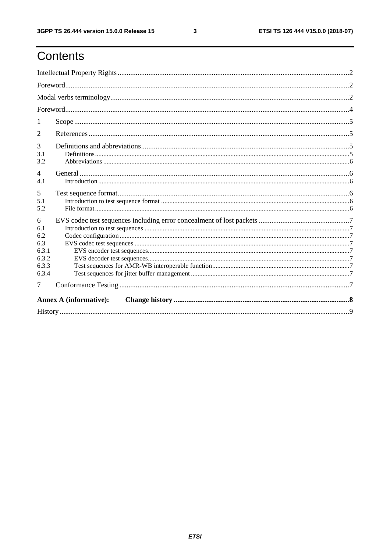# Contents

| 2                                                          |  |  |  |  |  |  |  |
|------------------------------------------------------------|--|--|--|--|--|--|--|
| 3<br>3.1<br>3.2                                            |  |  |  |  |  |  |  |
| $\overline{4}$<br>4.1                                      |  |  |  |  |  |  |  |
| 5<br>5.1<br>5.2                                            |  |  |  |  |  |  |  |
| 6<br>6.1<br>6.2<br>6.3<br>6.3.1<br>6.3.2<br>6.3.3<br>6.3.4 |  |  |  |  |  |  |  |
| 7                                                          |  |  |  |  |  |  |  |
| <b>Annex A (informative):</b>                              |  |  |  |  |  |  |  |
|                                                            |  |  |  |  |  |  |  |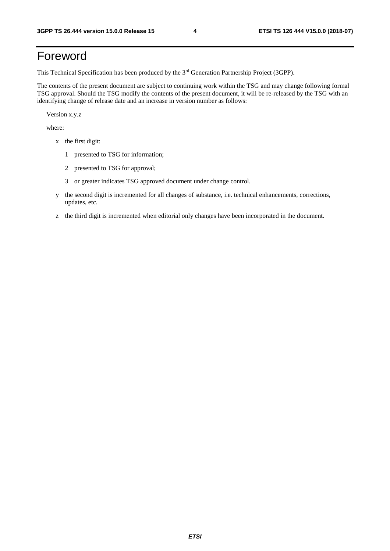## Foreword

This Technical Specification has been produced by the 3rd Generation Partnership Project (3GPP).

The contents of the present document are subject to continuing work within the TSG and may change following formal TSG approval. Should the TSG modify the contents of the present document, it will be re-released by the TSG with an identifying change of release date and an increase in version number as follows:

Version x.y.z

where:

- x the first digit:
	- 1 presented to TSG for information;
	- 2 presented to TSG for approval;
	- 3 or greater indicates TSG approved document under change control.
- y the second digit is incremented for all changes of substance, i.e. technical enhancements, corrections, updates, etc.
- z the third digit is incremented when editorial only changes have been incorporated in the document.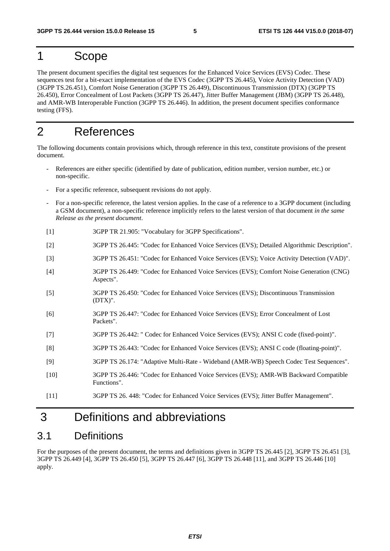#### 1 Scope

The present document specifies the digital test sequences for the Enhanced Voice Services (EVS) Codec. These sequences test for a bit-exact implementation of the EVS Codec (3GPP TS 26.445), Voice Activity Detection (VAD) (3GPP TS.26.451), Comfort Noise Generation (3GPP TS 26.449), Discontinuous Transmission (DTX) (3GPP TS 26.450), Error Concealment of Lost Packets (3GPP TS 26.447), Jitter Buffer Management (JBM) (3GPP TS 26.448), and AMR-WB Interoperable Function (3GPP TS 26.446). In addition, the present document specifies conformance testing (FFS).

#### 2 References

The following documents contain provisions which, through reference in this text, constitute provisions of the present document.

- References are either specific (identified by date of publication, edition number, version number, etc.) or non-specific.
- For a specific reference, subsequent revisions do not apply.
- For a non-specific reference, the latest version applies. In the case of a reference to a 3GPP document (including a GSM document), a non-specific reference implicitly refers to the latest version of that document *in the same Release as the present document*.
- [1] 3GPP TR 21.905: "Vocabulary for 3GPP Specifications".
- [2] 3GPP TS 26.445: "Codec for Enhanced Voice Services (EVS); Detailed Algorithmic Description".
- [3] 3GPP TS 26.451: "Codec for Enhanced Voice Services (EVS); Voice Activity Detection (VAD)".
- [4] 3GPP TS 26.449: "Codec for Enhanced Voice Services (EVS); Comfort Noise Generation (CNG) Aspects".
- [5] 3GPP TS 26.450: "Codec for Enhanced Voice Services (EVS); Discontinuous Transmission (DTX)".
- [6] 3GPP TS 26.447: "Codec for Enhanced Voice Services (EVS); Error Concealment of Lost Packets".
- [7] 3GPP TS 26.442: " Codec for Enhanced Voice Services (EVS); ANSI C code (fixed-point)".
- [8] 3GPP TS 26.443: "Codec for Enhanced Voice Services (EVS); ANSI C code (floating-point)".
- [9] 3GPP TS 26.174: "Adaptive Multi-Rate Wideband (AMR-WB) Speech Codec Test Sequences".
- [10] 3GPP TS 26.446: "Codec for Enhanced Voice Services (EVS); AMR-WB Backward Compatible Functions".
- [11] 3GPP TS 26. 448: "Codec for Enhanced Voice Services (EVS); Jitter Buffer Management".

## 3 Definitions and abbreviations

#### 3.1 Definitions

For the purposes of the present document, the terms and definitions given in 3GPP TS 26.445 [2], 3GPP TS 26.451 [3], 3GPP TS 26.449 [4], 3GPP TS 26.450 [5], 3GPP TS 26.447 [6], 3GPP TS 26.448 [11], and 3GPP TS 26.446 [10] apply.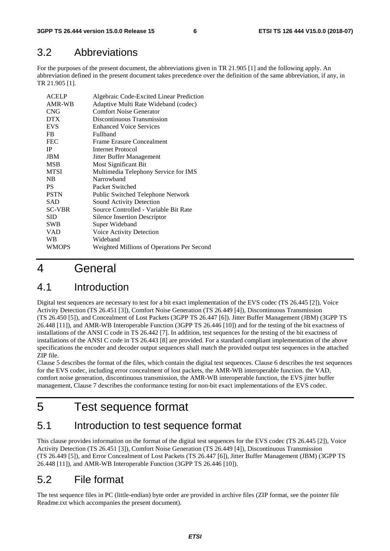#### 3.2 Abbreviations

For the purposes of the present document, the abbreviations given in TR 21.905 [1] and the following apply. An abbreviation defined in the present document takes precedence over the definition of the same abbreviation, if any, in TR 21.905 [1].

| ACELP         | Algebraic Code-Excited Linear Prediction   |
|---------------|--------------------------------------------|
| AMR-WB        | Adaptive Multi Rate Wideband (codec)       |
| <b>CNG</b>    | <b>Comfort Noise Generator</b>             |
| <b>DTX</b>    | Discontinuous Transmission                 |
| <b>EVS</b>    | <b>Enhanced Voice Services</b>             |
| FB.           | Fullband                                   |
| <b>FEC</b>    | <b>Frame Erasure Concealment</b>           |
| <b>IP</b>     | Internet Protocol                          |
| <b>JBM</b>    | Jitter Buffer Management                   |
| <b>MSB</b>    | Most Significant Bit                       |
| <b>MTSI</b>   | Multimedia Telephony Service for IMS       |
| NB            | Narrowhand                                 |
| PS.           | Packet Switched                            |
| <b>PSTN</b>   | Public Switched Telephone Network          |
| <b>SAD</b>    | Sound Activity Detection                   |
| <b>SC-VBR</b> | Source Controlled - Variable Bit Rate      |
| <b>SID</b>    | Silence Insertion Descriptor               |
| <b>SWB</b>    | Super Wideband                             |
| <b>VAD</b>    | Voice Activity Detection                   |
| WB            | Wideband                                   |
| <b>WMOPS</b>  | Weighted Millions of Operations Per Second |

# 4 General

### 4.1 Introduction

Digital test sequences are necessary to test for a bit exact implementation of the EVS codec (TS 26.445 [2]), Voice Activity Detection (TS 26.451 [3]), Comfort Noise Generation (TS 26.449 [4]), Discontinuous Transmission (TS 26.450 [5]), and Concealment of Lost Packets (3GPP TS 26.447 [6]). Jitter Buffer Management (JBM) (3GPP TS 26.448 [11]), and AMR-WB Interoperable Function (3GPP TS 26.446 [10]) and for the testing of the bit exactness of installations of the ANSI C code in TS 26.442 [7]. In addition, test sequences for the testing of the bit exactness of installations of the ANSI C code in TS 26.443 [8] are provided. For a standard compliant implementation of the above specifications the encoder and decoder output sequences shall match the provided output test sequences in the attached ZIP file.

Clause 5 describes the format of the files, which contain the digital test sequences. Clause 6 describes the test sequences for the EVS codec, including error concealment of lost packets, the AMR-WB interoperable function. the VAD, comfort noise generation, discontinuous transmission, the AMR-WB interoperable function, the EVS jitter buffer management, Clause 7 describes the conformance testing for non-bit exact implementations of the EVS codec.

# 5 Test sequence format

### 5.1 Introduction to test sequence format

This clause provides information on the format of the digital test sequences for the EVS codec (TS 26.445 [2]), Voice Activity Detection (TS 26.451 [3]), Comfort Noise Generation (TS 26.449 [4]), Discontinuous Transmission (TS 26.449 [5]), and Error Concealment of Lost Packets (TS 26.447 [6]), Jitter Buffer Management (JBM) (3GPP TS 26.448 [11]), and AMR-WB Interoperable Function (3GPP TS 26.446 [10]).

### 5.2 File format

The test sequence files in PC (little-endian) byte order are provided in archive files (ZIP format, see the pointer file Readme.txt which accompanies the present document).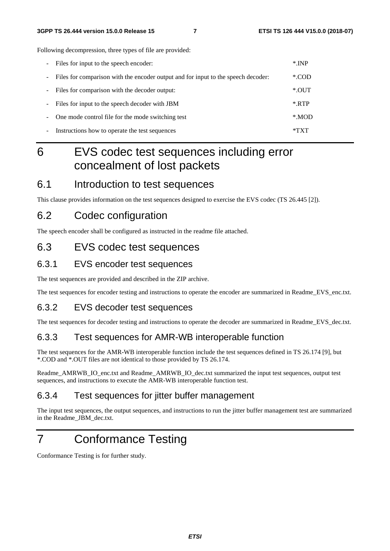Following decompression, three types of file are provided:

| $\overline{\phantom{a}}$ | Files for input to the speech encoder:                                            | $*$ INP |
|--------------------------|-----------------------------------------------------------------------------------|---------|
| ۰.                       | Files for comparison with the encoder output and for input to the speech decoder: | *.COD   |
| -                        | Files for comparison with the decoder output:                                     | $*$ OUT |
| -                        | Files for input to the speech decoder with JBM                                    | $*$ RTP |
|                          | One mode control file for the mode switching test                                 | *.MOD   |
| -                        | Instructions how to operate the test sequences                                    | *TXT    |

# 6 EVS codec test sequences including error concealment of lost packets

#### 6.1 Introduction to test sequences

This clause provides information on the test sequences designed to exercise the EVS codec (TS 26.445 [2]).

#### 6.2 Codec configuration

The speech encoder shall be configured as instructed in the readme file attached.

#### 6.3 EVS codec test sequences

#### 6.3.1 EVS encoder test sequences

The test sequences are provided and described in the ZIP archive.

The test sequences for encoder testing and instructions to operate the encoder are summarized in Readme\_EVS\_enc.txt.

#### 6.3.2 EVS decoder test sequences

The test sequences for decoder testing and instructions to operate the decoder are summarized in Readme\_EVS\_dec.txt.

#### 6.3.3 Test sequences for AMR-WB interoperable function

The test sequences for the AMR-WB interoperable function include the test sequences defined in TS 26.174 [9], but \*.COD and \*.OUT files are not identical to those provided by TS 26.174.

Readme\_AMRWB\_IO\_enc.txt and Readme\_AMRWB\_IO\_dec.txt summarized the input test sequences, output test sequences, and instructions to execute the AMR-WB interoperable function test.

#### 6.3.4 Test sequences for jitter buffer management

The input test sequences, the output sequences, and instructions to run the jitter buffer management test are summarized in the Readme\_JBM\_dec.txt.

# 7 Conformance Testing

Conformance Testing is for further study.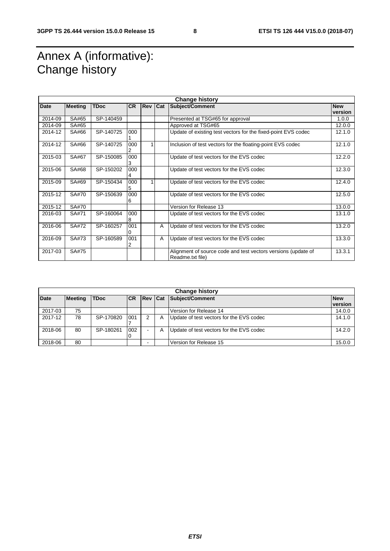# Annex A (informative): Change history

| <b>Change history</b> |                |             |           |                |   |                                                                                   |                       |
|-----------------------|----------------|-------------|-----------|----------------|---|-----------------------------------------------------------------------------------|-----------------------|
| <b>Date</b>           | <b>Meeting</b> | <b>TDoc</b> | <b>CR</b> | <b>Rev Cat</b> |   | Subject/Comment                                                                   | <b>New</b><br>version |
| 2014-09               | SA#65          | SP-140459   |           |                |   | Presented at TSG#65 for approval                                                  | 1.0.0                 |
| 2014-09               | SA#65          |             |           |                |   | Approved at TSG#65                                                                | 12.0.0                |
| 2014-12               | SA#66          | SP-140725   | 000       |                |   | Update of existing test vectors for the fixed-point EVS codec                     | 12.1.0                |
| 2014-12               | SA#66          | SP-140725   | 000       |                |   | Inclusion of test vectors for the floating-point EVS codec                        | 12.1.0                |
| 2015-03               | SA#67          | SP-150085   | 000<br>3  |                |   | Update of test vectors for the EVS codec                                          | 12.2.0                |
| 2015-06               | SA#68          | SP-150202   | 000<br>4  |                |   | Update of test vectors for the EVS codec                                          | 12.3.0                |
| 2015-09               | SA#69          | SP-150434   | 000<br>5  |                |   | Update of test vectors for the EVS codec                                          | 12.4.0                |
| 2015-12               | SA#70          | SP-150639   | 000<br>6  |                |   | Update of test vectors for the EVS codec                                          | 12.5.0                |
| 2015-12               | SA#70          |             |           |                |   | Version for Release 13                                                            | 13.0.0                |
| 2016-03               | SA#71          | SP-160064   | 000<br>8  |                |   | Update of test vectors for the EVS codec                                          | 13.1.0                |
| 2016-06               | SA#72          | SP-160257   | 001<br>0  |                | A | Update of test vectors for the EVS codec                                          | 13.2.0                |
| 2016-09               | SA#73          | SP-160589   | 001<br>2  |                | A | Update of test vectors for the EVS codec                                          | 13.3.0                |
| 2017-03               | SA#75          |             |           |                |   | Alignment of source code and test vectors versions (update of<br>Readme.txt file) | 13.3.1                |

| <b>Change history</b> |                |             |           |                |   |                                          |                       |
|-----------------------|----------------|-------------|-----------|----------------|---|------------------------------------------|-----------------------|
| <b>Date</b>           | <b>Meeting</b> | <b>TDoc</b> | <b>CR</b> | <b>Rev Cat</b> |   | Subject/Comment                          | <b>New</b><br>version |
| 2017-03               | 75             |             |           |                |   | Version for Release 14                   | 14.0.0                |
| 2017-12               | 78             | SP-170820   | 001       | 2              | A | Update of test vectors for the EVS codec | 14.1.0                |
| 2018-06               | 80             | SP-180261   | 002<br>0  | ٠.             | A | Update of test vectors for the EVS codec | 14.2.0                |
| 2018-06               | 80             |             |           |                |   | Version for Release 15                   | 15.0.0                |